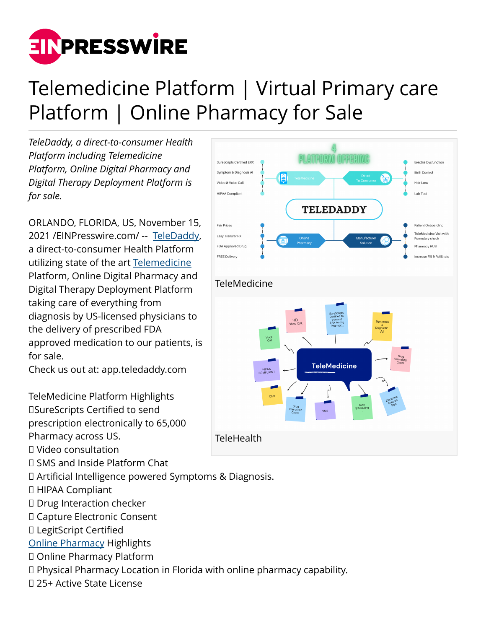

## Telemedicine Platform | Virtual Primary care Platform | Online Pharmacy for Sale

*TeleDaddy, a direct-to-consumer Health Platform including Telemedicine Platform, Online Digital Pharmacy and Digital Therapy Deployment Platform is for sale.*

ORLANDO, FLORIDA, US, November 15, 2021 /[EINPresswire.com](http://www.einpresswire.com)/ -- [TeleDaddy,](https://app.teledaddy.com/) a direct-to-consumer Health Platform utilizing state of the art [Telemedicine](https://app.teledaddy.com/) Platform, Online Digital Pharmacy and Digital Therapy Deployment Platform taking care of everything from diagnosis by US-licensed physicians to the delivery of prescribed FDA approved medication to our patients, is for sale.

Check us out at: app.teledaddy.com

TeleMedicine Platform Highlights ☑SureScripts Certified to send prescription electronically to 65,000 Pharmacy across US.

- ☑ Video consultation
- ☑ SMS and Inside Platform Chat
- ☑ Artificial Intelligence powered Symptoms & Diagnosis.
- ☑ HIPAA Compliant
- ☑ Drug Interaction checker
- ☑ Capture Electronic Consent
- ☑ LegitScript Certified
- [Online Pharmacy](https://app.teledaddy.com/) Highlights
- ☑ Online Pharmacy Platform
- ☑ Physical Pharmacy Location in Florida with online pharmacy capability.
- ☑ 25+ Active State License

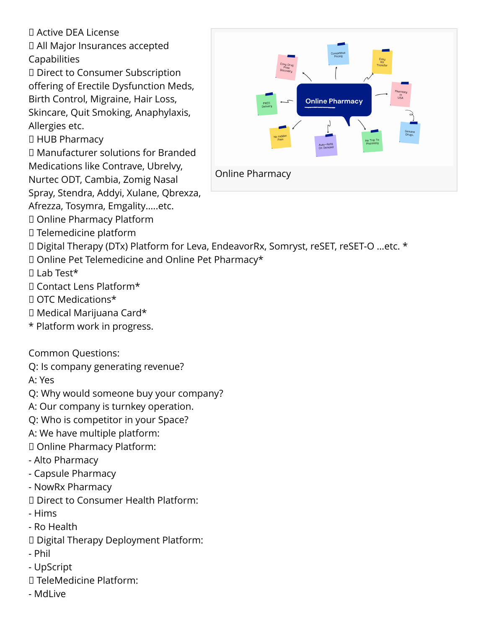## ☑ Active DEA License

☑ All Major Insurances accepted Capabilities

☑ Direct to Consumer Subscription offering of Erectile Dysfunction Meds, Birth Control, Migraine, Hair Loss, Skincare, Quit Smoking, Anaphylaxis, Allergies etc.

☑ HUB Pharmacy

☑ Manufacturer solutions for Branded Medications like Contrave, Ubrelvy,

Nurtec ODT, Cambia, Zomig Nasal

Spray, Stendra, Addyi, Xulane, Qbrexza,

Afrezza, Tosymra, Emgality…..etc.

☑ Online Pharmacy Platform

☑ Telemedicine platform



☑ Digital Therapy (DTx) Platform for Leva, EndeavorRx, Somryst, reSET, reSET-O …etc. \*

☑ Online Pet Telemedicine and Online Pet Pharmacy\*

☑ Lab Test\*

- ☑ Contact Lens Platform\*
- ☑ OTC Medications\*
- ☑ Medical Marijuana Card\*
- \* Platform work in progress.

Common Questions:

Q: Is company generating revenue?

A: Yes

Q: Why would someone buy your company?

A: Our company is turnkey operation.

Q: Who is competitor in your Space?

A: We have multiple platform:

☑ Online Pharmacy Platform:

- Alto Pharmacy

- Capsule Pharmacy

- NowRx Pharmacy

☑ Direct to Consumer Health Platform:

- Hims

- Ro Health

☑ Digital Therapy Deployment Platform:

- Phil

- UpScript

☑ TeleMedicine Platform:

- MdLive